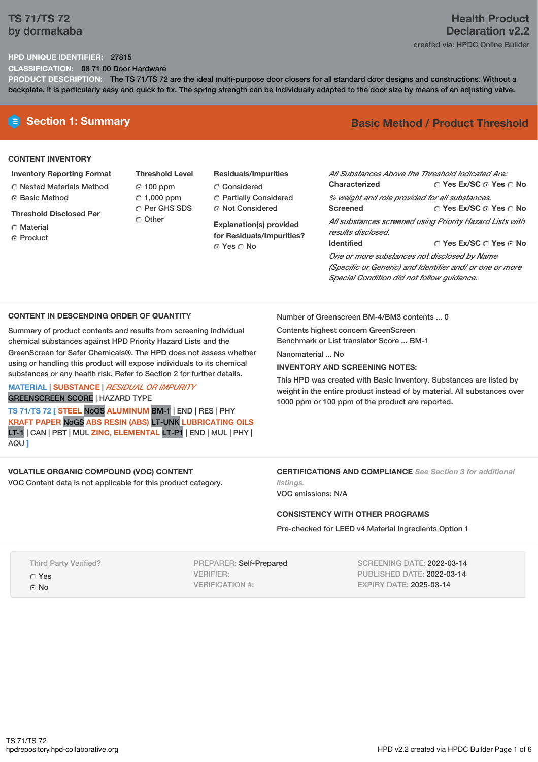# **TS 71/TS 72 by dormakaba**

## **Health Product Declaration v2.2** created via: HPDC Online Builder

## **HPD UNIQUE IDENTIFIER:** 27815

**CLASSIFICATION:** 08 71 00 Door Hardware

**PRODUCT DESCRIPTION:** The TS 71/TS 72 are the ideal multi-purpose door closers for all standard door designs and constructions. Without a backplate, it is particularly easy and quick to fix. The spring strength can be individually adapted to the door size by means of an adjusting valve.

## **CONTENT INVENTORY**

- **Inventory Reporting Format**
- Nested Materials Method **G** Basic Method
- **Threshold Disclosed Per**
- Material
- ⊙ Product
- **Threshold Level** 100 ppm  $\degree$  1,000 ppm C Per GHS SDS Other
- **Residuals/Impurities** Considered Partially Considered Not Considered

**Explanation(s) provided for Residuals/Impurities?** Yes No

# **E** Section 1: Summary **Basic** Method / Product Threshold

| All Substances Above the Threshold Indicated Are:        |                                                   |  |  |  |  |
|----------------------------------------------------------|---------------------------------------------------|--|--|--|--|
| Characterized                                            | $\bigcirc$ Yes Ex/SC $\bigcirc$ Yes $\bigcirc$ No |  |  |  |  |
| % weight and role provided for all substances.           |                                                   |  |  |  |  |
| <b>Screened</b>                                          | ∩ Yes Ex/SC ∩ Yes ∩ No                            |  |  |  |  |
| All substances screened using Priority Hazard Lists with |                                                   |  |  |  |  |
| results disclosed.                                       |                                                   |  |  |  |  |
| <b>Identified</b>                                        | ○ Yes Ex/SC ○ Yes ⊙ No                            |  |  |  |  |
| One or more substances not disclosed by Name             |                                                   |  |  |  |  |

*(Specific or Generic) and Identifier and/ or one or more Special Condition did not follow guidance.*

## **CONTENT IN DESCENDING ORDER OF QUANTITY**

Summary of product contents and results from screening individual chemical substances against HPD Priority Hazard Lists and the GreenScreen for Safer Chemicals®. The HPD does not assess whether using or handling this product will expose individuals to its chemical substances or any health risk. Refer to Section 2 for further details.

## **MATERIAL** | **SUBSTANCE** | *RESIDUAL OR IMPURITY* GREENSCREEN SCORE | HAZARD TYPE

**TS 71/TS 72 [ STEEL** NoGS **ALUMINUM** BM-1 | END | RES | PHY **KRAFT PAPER** NoGS **ABS RESIN (ABS)** LT-UNK **LUBRICATING OILS** LT-1 | CAN | PBT | MUL **ZINC, ELEMENTAL** LT-P1 | END | MUL | PHY | AQU **]**

Number of Greenscreen BM-4/BM3 contents ... 0

Contents highest concern GreenScreen Benchmark or List translator Score ... BM-1

Nanomaterial No.

#### **INVENTORY AND SCREENING NOTES:**

This HPD was created with Basic Inventory. Substances are listed by weight in the entire product instead of by material. All substances over 1000 ppm or 100 ppm of the product are reported.

# **VOLATILE ORGANIC COMPOUND (VOC) CONTENT**

VOC Content data is not applicable for this product category.

**CERTIFICATIONS AND COMPLIANCE** *See Section 3 for additional listings.*

VOC emissions: N/A

## **CONSISTENCY WITH OTHER PROGRAMS**

Pre-checked for LEED v4 Material Ingredients Option 1

Third Party Verified?

Yes

© No

PREPARER: Self-Prepared VERIFIER: VERIFICATION #:

SCREENING DATE: 2022-03-14 PUBLISHED DATE: 2022-03-14 EXPIRY DATE: 2025-03-14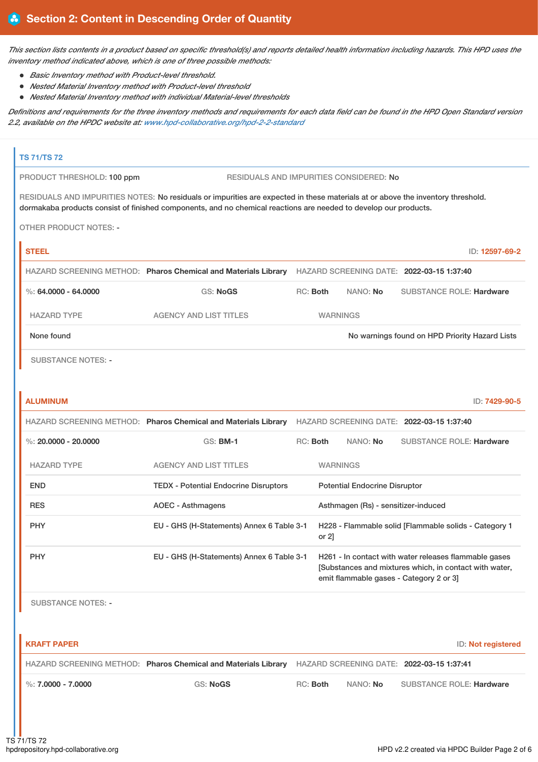This section lists contents in a product based on specific threshold(s) and reports detailed health information including hazards. This HPD uses the *inventory method indicated above, which is one of three possible methods:*

- *Basic Inventory method with Product-level threshold.*
- *Nested Material Inventory method with Product-level threshold*
- *Nested Material Inventory method with individual Material-level thresholds*

Definitions and requirements for the three inventory methods and requirements for each data field can be found in the HPD Open Standard version *2.2, available on the HPDC website at: [www.hpd-collaborative.org/hpd-2-2-standard](https://www.hpd-collaborative.org/hpd-2-2-standard)*

# **TS 71/TS 72**

PRODUCT THRESHOLD: 100 ppm RESIDUALS AND IMPURITIES CONSIDERED: No

RESIDUALS AND IMPURITIES NOTES: No residuals or impurities are expected in these materials at or above the inventory threshold. dormakaba products consist of finished components, and no chemical reactions are needed to develop our products.

OTHER PRODUCT NOTES: -

| <b>STEEL</b>             |                                                                |                 |          | ID: 12597-69-2                                 |  |
|--------------------------|----------------------------------------------------------------|-----------------|----------|------------------------------------------------|--|
|                          | HAZARD SCREENING METHOD: Pharos Chemical and Materials Library |                 |          | HAZARD SCREENING DATE: 2022-03-15 1:37:40      |  |
| $\%$ : 64.0000 - 64.0000 | <b>GS: NoGS</b>                                                | $RC:$ Both      | NANO: No | <b>SUBSTANCE ROLE: Hardware</b>                |  |
| <b>HAZARD TYPE</b>       | <b>AGENCY AND LIST TITLES</b>                                  | <b>WARNINGS</b> |          |                                                |  |
| None found               |                                                                |                 |          | No warnings found on HPD Priority Hazard Lists |  |
|                          |                                                                |                 |          |                                                |  |

SUBSTANCE NOTES: -

| <b>ALUMINUM</b>        |                                              |                                                                |                                                                                        |          |                 | ID: 7429-90-5                                                                                                                                                                                                                                                                                                                                                                     |
|------------------------|----------------------------------------------|----------------------------------------------------------------|----------------------------------------------------------------------------------------|----------|-----------------|-----------------------------------------------------------------------------------------------------------------------------------------------------------------------------------------------------------------------------------------------------------------------------------------------------------------------------------------------------------------------------------|
|                        |                                              |                                                                |                                                                                        |          |                 |                                                                                                                                                                                                                                                                                                                                                                                   |
| %: $20.0000 - 20.0000$ | $GS:$ BM-1                                   |                                                                |                                                                                        | NANO: No |                 |                                                                                                                                                                                                                                                                                                                                                                                   |
| <b>HAZARD TYPE</b>     | <b>AGENCY AND LIST TITLES</b>                |                                                                |                                                                                        |          |                 |                                                                                                                                                                                                                                                                                                                                                                                   |
| <b>END</b>             | <b>TEDX - Potential Endocrine Disruptors</b> |                                                                |                                                                                        |          |                 |                                                                                                                                                                                                                                                                                                                                                                                   |
| <b>RES</b>             | <b>AOEC - Asthmagens</b>                     |                                                                |                                                                                        |          |                 |                                                                                                                                                                                                                                                                                                                                                                                   |
| <b>PHY</b>             |                                              |                                                                | or $2$ ]                                                                               |          |                 |                                                                                                                                                                                                                                                                                                                                                                                   |
| <b>PHY</b>             |                                              |                                                                |                                                                                        |          |                 |                                                                                                                                                                                                                                                                                                                                                                                   |
|                        |                                              | HAZARD SCREENING METHOD: Pharos Chemical and Materials Library | EU - GHS (H-Statements) Annex 6 Table 3-1<br>EU - GHS (H-Statements) Annex 6 Table 3-1 | RC: Both | <b>WARNINGS</b> | HAZARD SCREENING DATE: 2022-03-15 1:37:40<br><b>SUBSTANCE ROLE: Hardware</b><br><b>Potential Endocrine Disruptor</b><br>Asthmagen (Rs) - sensitizer-induced<br>H228 - Flammable solid [Flammable solids - Category 1<br>H261 - In contact with water releases flammable gases<br>[Substances and mixtures which, in contact with water,<br>emit flammable gases - Category 2 or 3 |

SUBSTANCE NOTES: -

| I KRAFT PAPER          |                                                                |          |                 | ID: Not registered                        |
|------------------------|----------------------------------------------------------------|----------|-----------------|-------------------------------------------|
|                        | HAZARD SCREENING METHOD: Pharos Chemical and Materials Library |          |                 | HAZARD SCREENING DATE: 2022-03-15 1:37:41 |
| $\%$ : 7.0000 - 7.0000 | GS: NoGS                                                       | RC: Both | NANO: <b>No</b> | <b>SUBSTANCE ROLE: Hardware</b>           |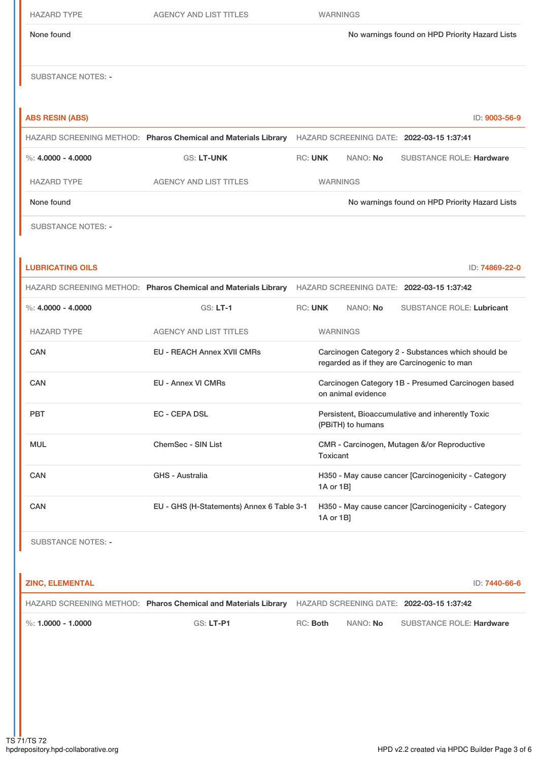| <b>HAZARD TYPE</b>        | <b>AGENCY AND LIST TITLES</b>                                                                            |                | <b>WARNINGS</b> |                    |                                                                                                   |                |
|---------------------------|----------------------------------------------------------------------------------------------------------|----------------|-----------------|--------------------|---------------------------------------------------------------------------------------------------|----------------|
| None found                |                                                                                                          |                |                 |                    | No warnings found on HPD Priority Hazard Lists                                                    |                |
| <b>SUBSTANCE NOTES: -</b> |                                                                                                          |                |                 |                    |                                                                                                   |                |
| <b>ABS RESIN (ABS)</b>    |                                                                                                          |                |                 |                    |                                                                                                   | ID: 9003-56-9  |
|                           | HAZARD SCREENING METHOD: Pharos Chemical and Materials Library HAZARD SCREENING DATE: 2022-03-15 1:37:41 |                |                 |                    |                                                                                                   |                |
| %: $4.0000 - 4.0000$      | <b>GS: LT-UNK</b>                                                                                        | <b>RC: UNK</b> |                 | NANO: No           | <b>SUBSTANCE ROLE: Hardware</b>                                                                   |                |
| <b>HAZARD TYPE</b>        | <b>AGENCY AND LIST TITLES</b>                                                                            |                | <b>WARNINGS</b> |                    |                                                                                                   |                |
| None found                |                                                                                                          |                |                 |                    | No warnings found on HPD Priority Hazard Lists                                                    |                |
| <b>SUBSTANCE NOTES: -</b> |                                                                                                          |                |                 |                    |                                                                                                   |                |
| <b>LUBRICATING OILS</b>   |                                                                                                          |                |                 |                    |                                                                                                   | ID: 74869-22-0 |
|                           | HAZARD SCREENING METHOD: Pharos Chemical and Materials Library HAZARD SCREENING DATE: 2022-03-15 1:37:42 |                |                 |                    |                                                                                                   |                |
| %: $4.0000 - 4.0000$      | $GS: LT-1$                                                                                               | <b>RC: UNK</b> |                 | NANO: No           | <b>SUBSTANCE ROLE: Lubricant</b>                                                                  |                |
| <b>HAZARD TYPE</b>        | <b>AGENCY AND LIST TITLES</b>                                                                            |                | <b>WARNINGS</b> |                    |                                                                                                   |                |
| <b>CAN</b>                | <b>EU - REACH Annex XVII CMRs</b>                                                                        |                |                 |                    | Carcinogen Category 2 - Substances which should be<br>regarded as if they are Carcinogenic to man |                |
| <b>CAN</b>                | <b>EU - Annex VI CMRs</b>                                                                                |                |                 | on animal evidence | Carcinogen Category 1B - Presumed Carcinogen based                                                |                |
| PBT                       | EC - CEPA DSL                                                                                            |                |                 | (PBiTH) to humans  | Persistent, Bioaccumulative and inherently Toxic                                                  |                |
| <b>MUL</b>                | ChemSec - SIN List                                                                                       |                | Toxicant        |                    | CMR - Carcinogen, Mutagen &/or Reproductive                                                       |                |
| CAN                       | <b>GHS - Australia</b>                                                                                   |                | 1A or 1B]       |                    | H350 - May cause cancer [Carcinogenicity - Category                                               |                |
| CAN                       | EU - GHS (H-Statements) Annex 6 Table 3-1                                                                |                | 1A or 1B]       |                    | H350 - May cause cancer [Carcinogenicity - Category                                               |                |
| <b>SUBSTANCE NOTES: -</b> |                                                                                                          |                |                 |                    |                                                                                                   |                |
| <b>ZINC, ELEMENTAL</b>    |                                                                                                          |                |                 |                    |                                                                                                   | ID: 7440-66-6  |
|                           | HAZARD SCREENING METHOD: Pharos Chemical and Materials Library                                           |                |                 |                    | HAZARD SCREENING DATE: 2022-03-15 1:37:42                                                         |                |
| $\%$ : 1.0000 - 1.0000    | GS: LT-P1                                                                                                | RC: Both       |                 | NANO: No           | <b>SUBSTANCE ROLE: Hardware</b>                                                                   |                |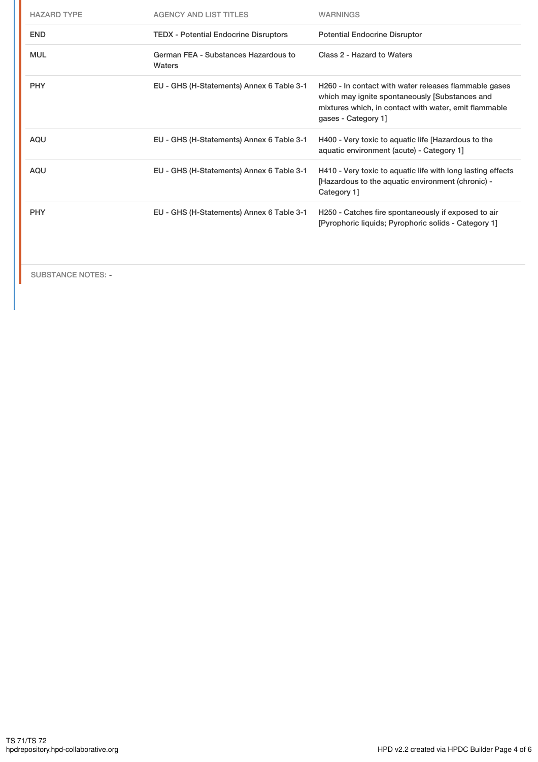| <b>HAZARD TYPE</b> | <b>AGENCY AND LIST TITLES</b>                  | <b>WARNINGS</b>                                                                                                                                                                         |
|--------------------|------------------------------------------------|-----------------------------------------------------------------------------------------------------------------------------------------------------------------------------------------|
| <b>END</b>         | <b>TEDX</b> - Potential Endocrine Disruptors   | <b>Potential Endocrine Disruptor</b>                                                                                                                                                    |
| <b>MUL</b>         | German FEA - Substances Hazardous to<br>Waters | Class 2 - Hazard to Waters                                                                                                                                                              |
| <b>PHY</b>         | EU - GHS (H-Statements) Annex 6 Table 3-1      | H260 - In contact with water releases flammable gases<br>which may ignite spontaneously [Substances and<br>mixtures which, in contact with water, emit flammable<br>gases - Category 1] |
| <b>AQU</b>         | EU - GHS (H-Statements) Annex 6 Table 3-1      | H400 - Very toxic to aquatic life [Hazardous to the<br>aquatic environment (acute) - Category 1]                                                                                        |
| <b>AQU</b>         | EU - GHS (H-Statements) Annex 6 Table 3-1      | H410 - Very toxic to aquatic life with long lasting effects<br>[Hazardous to the aquatic environment (chronic) -<br>Category 1]                                                         |
| <b>PHY</b>         | EU - GHS (H-Statements) Annex 6 Table 3-1      | H250 - Catches fire spontaneously if exposed to air<br>[Pyrophoric liquids; Pyrophoric solids - Category 1]                                                                             |

SUBSTANCE NOTES: -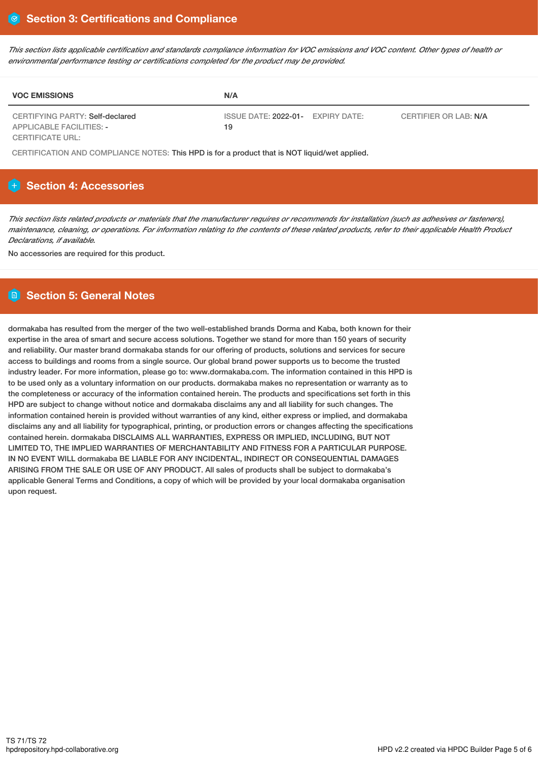This section lists applicable certification and standards compliance information for VOC emissions and VOC content. Other types of health or *environmental performance testing or certifications completed for the product may be provided.*

| <b>VOC EMISSIONS</b>                                        | N/A                                               |                       |
|-------------------------------------------------------------|---------------------------------------------------|-----------------------|
| CERTIFYING PARTY: Self-declared<br>APPLICABLE FACILITIES: - | ISSUE DATE: 2022-01-<br><b>EXPIRY DATE:</b><br>19 | CERTIFIER OR LAB: N/A |
| CERTIFICATE URL:                                            |                                                   |                       |

CERTIFICATION AND COMPLIANCE NOTES: This HPD is for a product that is NOT liquid/wet applied.

# **Section 4: Accessories**

This section lists related products or materials that the manufacturer requires or recommends for installation (such as adhesives or fasteners), maintenance, cleaning, or operations. For information relating to the contents of these related products, refer to their applicable Health Product *Declarations, if available.*

No accessories are required for this product.

## **Section 5: General Notes**

dormakaba has resulted from the merger of the two well-established brands Dorma and Kaba, both known for their expertise in the area of smart and secure access solutions. Together we stand for more than 150 years of security and reliability. Our master brand dormakaba stands for our offering of products, solutions and services for secure access to buildings and rooms from a single source. Our global brand power supports us to become the trusted industry leader. For more information, please go to: www.dormakaba.com. The information contained in this HPD is to be used only as a voluntary information on our products. dormakaba makes no representation or warranty as to the completeness or accuracy of the information contained herein. The products and specifications set forth in this HPD are subject to change without notice and dormakaba disclaims any and all liability for such changes. The information contained herein is provided without warranties of any kind, either express or implied, and dormakaba disclaims any and all liability for typographical, printing, or production errors or changes affecting the specifications contained herein. dormakaba DISCLAIMS ALL WARRANTIES, EXPRESS OR IMPLIED, INCLUDING, BUT NOT LIMITED TO, THE IMPLIED WARRANTIES OF MERCHANTABILITY AND FITNESS FOR A PARTICULAR PURPOSE. IN NO EVENT WILL dormakaba BE LIABLE FOR ANY INCIDENTAL, INDIRECT OR CONSEQUENTIAL DAMAGES ARISING FROM THE SALE OR USE OF ANY PRODUCT. All sales of products shall be subject to dormakaba's applicable General Terms and Conditions, a copy of which will be provided by your local dormakaba organisation upon request.